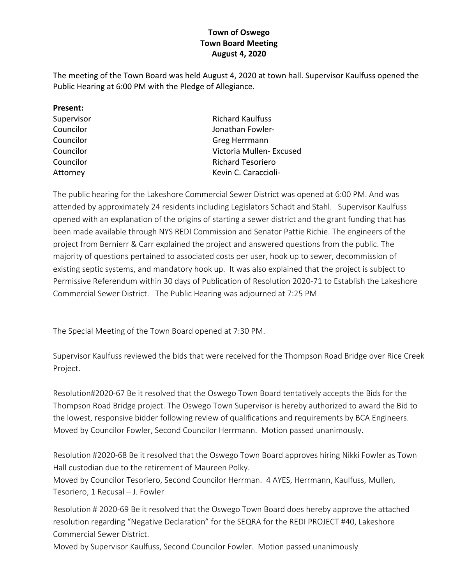## **Town of Oswego Town Board Meeting August 4, 2020**

The meeting of the Town Board was held August 4, 2020 at town hall. Supervisor Kaulfuss opened the Public Hearing at 6:00 PM with the Pledge of Allegiance.

| Present:   |                          |
|------------|--------------------------|
| Supervisor | <b>Richard Kaulfuss</b>  |
| Councilor  | Jonathan Fowler-         |
| Councilor  | Greg Herrmann            |
| Councilor  | Victoria Mullen- Excused |
| Councilor  | <b>Richard Tesoriero</b> |
| Attorney   | Kevin C. Caraccioli-     |
|            |                          |

The public hearing for the Lakeshore Commercial Sewer District was opened at 6:00 PM. And was attended by approximately 24 residents including Legislators Schadt and Stahl. Supervisor Kaulfuss opened with an explanation of the origins of starting a sewer district and the grant funding that has been made available through NYS REDI Commission and Senator Pattie Richie. The engineers of the project from Bernierr & Carr explained the project and answered questions from the public. The majority of questions pertained to associated costs per user, hook up to sewer, decommission of existing septic systems, and mandatory hook up. It was also explained that the project is subject to Permissive Referendum within 30 days of Publication of Resolution 2020-71 to Establish the Lakeshore Commercial Sewer District. The Public Hearing was adjourned at 7:25 PM

The Special Meeting of the Town Board opened at 7:30 PM.

Supervisor Kaulfuss reviewed the bids that were received for the Thompson Road Bridge over Rice Creek Project.

Resolution#2020-67 Be it resolved that the Oswego Town Board tentatively accepts the Bids for the Thompson Road Bridge project. The Oswego Town Supervisor is hereby authorized to award the Bid to the lowest, responsive bidder following review of qualifications and requirements by BCA Engineers. Moved by Councilor Fowler, Second Councilor Herrmann. Motion passed unanimously.

Resolution #2020-68 Be it resolved that the Oswego Town Board approves hiring Nikki Fowler as Town Hall custodian due to the retirement of Maureen Polky.

Moved by Councilor Tesoriero, Second Councilor Herrman. 4 AYES, Herrmann, Kaulfuss, Mullen, Tesoriero, 1 Recusal – J. Fowler

Resolution # 2020-69 Be it resolved that the Oswego Town Board does hereby approve the attached resolution regarding "Negative Declaration" for the SEQRA for the REDI PROJECT #40, Lakeshore Commercial Sewer District.

Moved by Supervisor Kaulfuss, Second Councilor Fowler. Motion passed unanimously